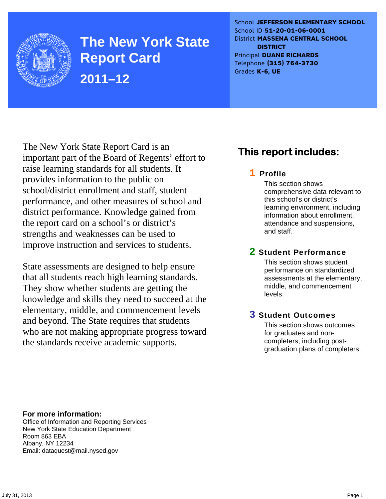

**The New York State Report Card 2011–12** 

School **JEFFERSON ELEMENTARY SCHOOL** School ID **51-20-01-06-0001** District **MASSENA CENTRAL SCHOOL DISTRICT** Principal **DUANE RICHARDS** Telephone **(315) 764-3730** Grades **K-6, UE**

The New York State Report Card is an important part of the Board of Regents' effort to raise learning standards for all students. It provides information to the public on school/district enrollment and staff, student performance, and other measures of school and district performance. Knowledge gained from the report card on a school's or district's strengths and weaknesses can be used to improve instruction and services to students.

State assessments are designed to help ensure that all students reach high learning standards. They show whether students are getting the knowledge and skills they need to succeed at the elementary, middle, and commencement levels and beyond. The State requires that students who are not making appropriate progress toward the standards receive academic supports.

### **This report includes:**

### 1 Profile

This section shows comprehensive data relevant to this school's or district's learning environment, including information about enrollment, attendance and suspensions, and staff.

### 2 Student Performance

This section shows student performance on standardized assessments at the elementary, middle, and commencement levels.

### 3 Student Outcomes

This section shows outcomes for graduates and noncompleters, including postgraduation plans of completers.

**For more information:**  Office of Information and Reporting Services New York State Education Department Room 863 EBA Albany, NY 12234

Email: dataquest@mail.nysed.gov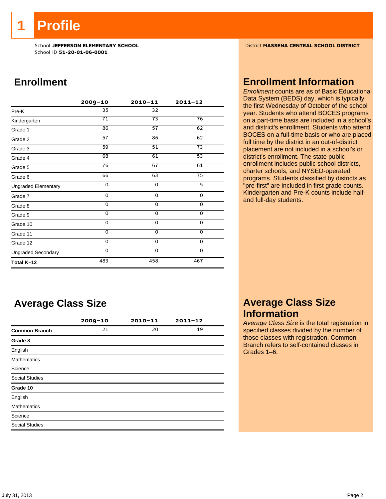**1 Profile** 

School ID **51-20-01-06-0001**

### **Enrollment**

|                            | $2009 - 10$ | $2010 - 11$ | $2011 - 12$     |
|----------------------------|-------------|-------------|-----------------|
| Pre-K                      | 35          | 32          |                 |
| Kindergarten               | 71          | 73          | 76              |
| Grade 1                    | 86          | 57          | 62              |
| Grade 2                    | 57          | 86          | 62              |
| Grade 3                    | 59          | 51          | 73              |
| Grade 4                    | 68          | 61          | $\overline{53}$ |
| Grade 5                    | 76          | 67          | 61              |
| Grade 6                    | 66          | 63          | 75              |
| <b>Ungraded Elementary</b> | $\Omega$    | $\Omega$    | 5               |
| Grade 7                    | 0           | $\mathbf 0$ | 0               |
| Grade 8                    | 0           | $\mathbf 0$ | 0               |
| Grade 9                    | $\Omega$    | 0           | 0               |
| Grade 10                   | 0           | 0           | 0               |
| Grade 11                   | $\Omega$    | $\mathbf 0$ | $\mathbf 0$     |
| Grade 12                   | $\Omega$    | $\Omega$    | $\mathbf 0$     |
| <b>Ungraded Secondary</b>  | $\Omega$    | $\Omega$    | 0               |
| Total K-12                 | 483         | 458         | 467             |

### **Average Class Size**

|                       | $2009 - 10$ | $2010 - 11$ | $2011 - 12$ |
|-----------------------|-------------|-------------|-------------|
| <b>Common Branch</b>  | 21          | 20          | 19          |
| Grade 8               |             |             |             |
| English               |             |             |             |
| <b>Mathematics</b>    |             |             |             |
| Science               |             |             |             |
| <b>Social Studies</b> |             |             |             |
| Grade 10              |             |             |             |
| English               |             |             |             |
| <b>Mathematics</b>    |             |             |             |
| Science               |             |             |             |
| <b>Social Studies</b> |             |             |             |

School **JEFFERSON ELEMENTARY SCHOOL** District **MASSENA CENTRAL SCHOOL DISTRICT**

### **Enrollment Information**

*Enrollment* counts are as of Basic Educational Data System (BEDS) day, which is typically the first Wednesday of October of the school year. Students who attend BOCES programs on a part-time basis are included in a school's and district's enrollment. Students who attend BOCES on a full-time basis or who are placed full time by the district in an out-of-district placement are not included in a school's or district's enrollment. The state public enrollment includes public school districts, charter schools, and NYSED-operated programs. Students classified by districts as "pre-first" are included in first grade counts. Kindergarten and Pre-K counts include halfand full-day students.

### **Average Class Size Information**

*Average Class Size* is the total registration in specified classes divided by the number of those classes with registration. Common Branch refers to self-contained classes in Grades 1–6.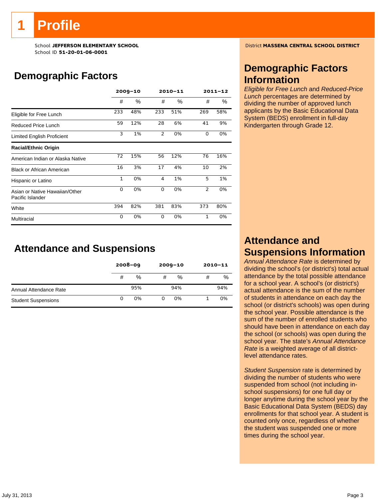# **Profile**

School ID **51-20-01-06-0001**

### **Demographic Factors**

|                                                    |              | $2009 - 10$ |                | 2010-11 | $2011 - 12$ |     |  |
|----------------------------------------------------|--------------|-------------|----------------|---------|-------------|-----|--|
|                                                    | #            | $\%$        | #              | %       | #           | %   |  |
| Eligible for Free Lunch                            | 233          | 48%         | 233            | 51%     | 269         | 58% |  |
| Reduced Price Lunch                                | 59           | 12%         | 28             | 6%      | 41          | 9%  |  |
| Limited English Proficient                         | 3            | 1%          | $\overline{2}$ | 0%      | 0           | 0%  |  |
| <b>Racial/Ethnic Origin</b>                        |              |             |                |         |             |     |  |
| American Indian or Alaska Native                   | 72           | 15%         | 56             | 12%     | 76          | 16% |  |
| <b>Black or African American</b>                   | 16           | 3%          | 17             | 4%      | 10          | 2%  |  |
| Hispanic or Latino                                 | $\mathbf{1}$ | 0%          | 4              | 1%      | 5           | 1%  |  |
| Asian or Native Hawaiian/Other<br>Pacific Islander | 0            | 0%          | 0              | 0%      | 2           | 0%  |  |
| White                                              | 394          | 82%         | 381            | 83%     | 373         | 80% |  |
| Multiracial                                        | 0            | 0%          | $\Omega$       | 0%      | 1           | 0%  |  |

### **Attendance and Suspensions**

|                            |   | $2008 - 09$ |   | $2009 - 10$ |   | $2010 - 11$ |
|----------------------------|---|-------------|---|-------------|---|-------------|
|                            | # | %           | # | %           | # | %           |
| Annual Attendance Rate     |   | 95%         |   | 94%         |   | 94%         |
| <b>Student Suspensions</b> |   | 0%          | 0 | 0%          |   | 0%          |

School **JEFFERSON ELEMENTARY SCHOOL** District **MASSENA CENTRAL SCHOOL DISTRICT**

### **Demographic Factors Information**

*Eligible for Free Lunch* and *Reduced-Price Lunch* percentages are determined by dividing the number of approved lunch applicants by the Basic Educational Data System (BEDS) enrollment in full-day Kindergarten through Grade 12.

### **Attendance and Suspensions Information**

*Annual Attendance Rate* is determined by dividing the school's (or district's) total actual attendance by the total possible attendance for a school year. A school's (or district's) actual attendance is the sum of the number of students in attendance on each day the school (or district's schools) was open during the school year. Possible attendance is the sum of the number of enrolled students who should have been in attendance on each day the school (or schools) was open during the school year. The state's *Annual Attendance Rate* is a weighted average of all districtlevel attendance rates.

*Student Suspension* rate is determined by dividing the number of students who were suspended from school (not including inschool suspensions) for one full day or longer anytime during the school year by the Basic Educational Data System (BEDS) day enrollments for that school year. A student is counted only once, regardless of whether the student was suspended one or more times during the school year.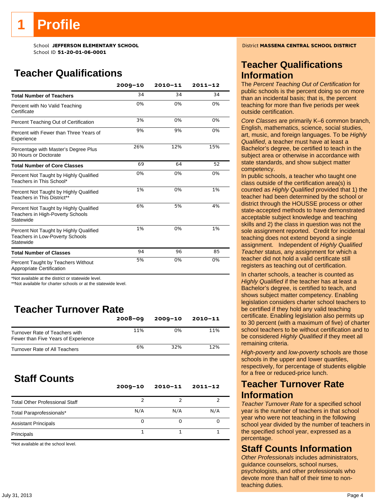## **Profile**

School **JEFFERSON ELEMENTARY SCHOOL** District **MASSENA CENTRAL SCHOOL DISTRICT** School ID **51-20-01-06-0001**

### **Teacher Qualifications**

|                                                                                         | $2009 - 10$ | 2010-11 | $2011 - 12$ |
|-----------------------------------------------------------------------------------------|-------------|---------|-------------|
| <b>Total Number of Teachers</b>                                                         | 34          | 34      | 34          |
| Percent with No Valid Teaching<br>Certificate                                           | 0%          | 0%      | 0%          |
| Percent Teaching Out of Certification                                                   | 3%          | 0%      | 0%          |
| Percent with Fewer than Three Years of<br>Experience                                    | 9%          | 9%      | 0%          |
| Percentage with Master's Degree Plus<br>30 Hours or Doctorate                           | 26%         | 12%     | 15%         |
| <b>Total Number of Core Classes</b>                                                     | 69          | 64      | 52          |
| Percent Not Taught by Highly Qualified<br>Teachers in This School*                      | 0%          | 0%      | 0%          |
| Percent Not Taught by Highly Qualified<br>Teachers in This District**                   | 1%          | 0%      | 1%          |
| Percent Not Taught by Highly Qualified<br>Teachers in High-Poverty Schools<br>Statewide | 6%          | 5%      | 4%          |
| Percent Not Taught by Highly Qualified<br>Teachers in Low-Poverty Schools<br>Statewide  | 1%          | 0%      | 1%          |
| <b>Total Number of Classes</b>                                                          | 94          | 96      | 85          |
| Percent Taught by Teachers Without<br>Appropriate Certification                         | 5%          | 0%      | 0%          |

\*Not available at the district or statewide level.

\*\*Not available for charter schools or at the statewide level.

### **Teacher Turnover Rate**

|                                                                       | $2008 - 09$ | $2009 - 10$ | $2010 - 11$ |
|-----------------------------------------------------------------------|-------------|-------------|-------------|
| Turnover Rate of Teachers with<br>Fewer than Five Years of Experience | 11%         | 0%          | 11%         |
| Turnover Rate of All Teachers                                         | 6%          | 32%         | 12%         |

### **Staff Counts**

|                                       | $2009 - 10$ | $2010 - 11$ | $2011 - 12$ |
|---------------------------------------|-------------|-------------|-------------|
| <b>Total Other Professional Staff</b> |             |             |             |
| Total Paraprofessionals*              | N/A         | N/A         | N/A         |
| <b>Assistant Principals</b>           | O           |             |             |
| Principals                            |             |             |             |

\*Not available at the school level.

### **Teacher Qualifications Information**

The *Percent Teaching Out of Certification* for public schools is the percent doing so on more than an incidental basis; that is, the percent teaching for more than five periods per week outside certification.

*Core Classes* are primarily K–6 common branch, English, mathematics, science, social studies, art, music, and foreign languages. To be *Highly Qualified*, a teacher must have at least a Bachelor's degree, be certified to teach in the subject area or otherwise in accordance with state standards, and show subject matter competency.

In public schools, a teacher who taught one class outside of the certification area(s) is counted as *Highly Qualified* provided that 1) the teacher had been determined by the school or district through the HOUSSE process or other state-accepted methods to have demonstrated acceptable subject knowledge and teaching skills and 2) the class in question was not the sole assignment reported. Credit for incidental teaching does not extend beyond a single assignment. Independent of *Highly Qualified Teacher* status, any assignment for which a teacher did not hold a valid certificate still registers as teaching out of certification.

In charter schools, a teacher is counted as *Highly Qualified* if the teacher has at least a Bachelor's degree, is certified to teach, and shows subject matter competency. Enabling legislation considers charter school teachers to be certified if they hold any valid teaching certificate. Enabling legislation also permits up to 30 percent (with a maximum of five) of charter school teachers to be without certification and to be considered *Highly Qualified* if they meet all remaining criteria.

*High-poverty* and *low-poverty* schools are those schools in the upper and lower quartiles, respectively, for percentage of students eligible for a free or reduced-price lunch.

### **Teacher Turnover Rate Information**

*Teacher Turnover Rate* for a specified school year is the number of teachers in that school year who were not teaching in the following school year divided by the number of teachers in the specified school year, expressed as a percentage.

### **Staff Counts Information**

*Other Professionals* includes administrators, guidance counselors, school nurses, psychologists, and other professionals who devote more than half of their time to nonteaching duties.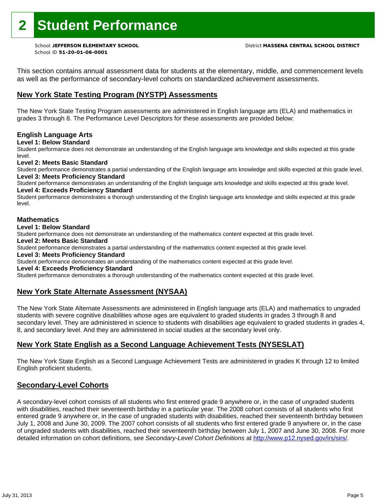## **2 Student Performance**

School ID **51-20-01-06-0001**

This section contains annual assessment data for students at the elementary, middle, and commencement levels as well as the performance of secondary-level cohorts on standardized achievement assessments.

### **New York State Testing Program (NYSTP) Assessments**

The New York State Testing Program assessments are administered in English language arts (ELA) and mathematics in grades 3 through 8. The Performance Level Descriptors for these assessments are provided below:

### **English Language Arts**

**Level 1: Below Standard** 

Student performance does not demonstrate an understanding of the English language arts knowledge and skills expected at this grade level.

#### **Level 2: Meets Basic Standard**

Student performance demonstrates a partial understanding of the English language arts knowledge and skills expected at this grade level. **Level 3: Meets Proficiency Standard** 

Student performance demonstrates an understanding of the English language arts knowledge and skills expected at this grade level.

### **Level 4: Exceeds Proficiency Standard**

Student performance demonstrates a thorough understanding of the English language arts knowledge and skills expected at this grade level.

#### **Mathematics**

#### **Level 1: Below Standard**

Student performance does not demonstrate an understanding of the mathematics content expected at this grade level.

#### **Level 2: Meets Basic Standard**

Student performance demonstrates a partial understanding of the mathematics content expected at this grade level.

#### **Level 3: Meets Proficiency Standard**

Student performance demonstrates an understanding of the mathematics content expected at this grade level.

#### **Level 4: Exceeds Proficiency Standard**

Student performance demonstrates a thorough understanding of the mathematics content expected at this grade level.

### **New York State Alternate Assessment (NYSAA)**

The New York State Alternate Assessments are administered in English language arts (ELA) and mathematics to ungraded students with severe cognitive disabilities whose ages are equivalent to graded students in grades 3 through 8 and secondary level. They are administered in science to students with disabilities age equivalent to graded students in grades 4, 8, and secondary level. And they are administered in social studies at the secondary level only.

### **New York State English as a Second Language Achievement Tests (NYSESLAT)**

The New York State English as a Second Language Achievement Tests are administered in grades K through 12 to limited English proficient students.

### **Secondary-Level Cohorts**

A secondary-level cohort consists of all students who first entered grade 9 anywhere or, in the case of ungraded students with disabilities, reached their seventeenth birthday in a particular year. The 2008 cohort consists of all students who first entered grade 9 anywhere or, in the case of ungraded students with disabilities, reached their seventeenth birthday between July 1, 2008 and June 30, 2009. The 2007 cohort consists of all students who first entered grade 9 anywhere or, in the case of ungraded students with disabilities, reached their seventeenth birthday between July 1, 2007 and June 30, 2008. For more detailed information on cohort definitions, see *Secondary-Level Cohort Definitions* at http://www.p12.nysed.gov/irs/sirs/.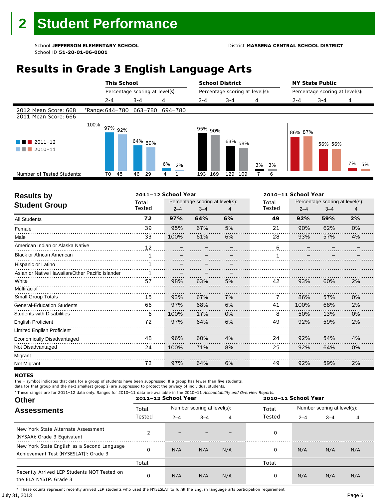#### School **JEFFERSON ELEMENTARY SCHOOL** District **MASSENA CENTRAL SCHOOL DISTRICT**

## **Results in Grade 3 English Language Arts**

|                                              |                         |         | <b>This School</b> |         |                                 |    |         |         |                      | <b>School District</b> |                                 |    |    | <b>NY State Public</b>          |         |    |    |
|----------------------------------------------|-------------------------|---------|--------------------|---------|---------------------------------|----|---------|---------|----------------------|------------------------|---------------------------------|----|----|---------------------------------|---------|----|----|
|                                              |                         |         |                    |         | Percentage scoring at level(s): |    |         |         |                      |                        | Percentage scoring at level(s): |    |    | Percentage scoring at level(s): |         |    |    |
|                                              |                         | $2 - 4$ |                    | $3 - 4$ |                                 | 4  |         | $2 - 4$ |                      | $3 - 4$                |                                 | 4  |    | $2 - 4$                         | $3 - 4$ | 4  |    |
| 2012 Mean Score: 668<br>2011 Mean Score: 666 | *Range: 644-780 663-780 |         |                    |         |                                 |    | 694-780 |         |                      |                        |                                 |    |    |                                 |         |    |    |
| $\blacksquare$ 2011-12<br>2010-11            | 100%                    |         | 97% 92%            |         | 64% <sub>59%</sub>              | 6% | 2%      |         | l <sup>95%</sup> 90% |                        | 63% <sub>58%</sub>              | 3% | 3% | 86% 87%                         | 56% 56% | 7% | 5% |
| Number of Tested Students:                   |                         | 70      | 45                 | 46      | 29                              | 4  |         | 193     | 169                  | 129                    | 109                             |    | 6  |                                 |         |    |    |
|                                              |                         |         |                    |         |                                 |    |         |         |                      |                        |                                 |    |    |                                 |         |    |    |

| <b>Results by</b>                               |        | 2011-12 School Year |                                 |    |        | 2010-11 School Year |                                 |    |
|-------------------------------------------------|--------|---------------------|---------------------------------|----|--------|---------------------|---------------------------------|----|
| <b>Student Group</b>                            | Total  |                     | Percentage scoring at level(s): |    | Total  |                     | Percentage scoring at level(s): |    |
|                                                 | Tested | $2 - 4$             | $3 - 4$                         |    | Tested | $2 - 4$             | $3 - 4$                         | 4  |
| <b>All Students</b>                             | 72     | 97%                 | 64%                             | 6% | 49     | 92%                 | 59%                             | 2% |
| Female                                          | 39     | 95%                 | 67%                             | 5% | 21     | 90%                 | 62%                             | 0% |
| Male                                            | 33     | 100%                | 61%                             | 6% | 28     | 93%                 | 57%                             | 4% |
| American Indian or Alaska Native                | 12     |                     |                                 |    | 6      |                     |                                 |    |
| <b>Black or African American</b>                |        |                     |                                 |    |        |                     |                                 |    |
| Hispanic or Latino                              |        |                     |                                 |    |        |                     |                                 |    |
| Asian or Native Hawaiian/Other Pacific Islander |        |                     |                                 |    |        |                     |                                 |    |
| White                                           | 57     | 98%                 | 63%                             | 5% | 42     | 93%                 | 60%                             | 2% |
| Multiracial                                     |        |                     |                                 |    |        |                     |                                 |    |
| Small Group Totals                              | 15     | 93%                 | 67%                             | 7% |        | 86%                 | 57%                             | 0% |
| <b>General-Education Students</b>               | 66     | 97%                 | 68%                             | 6% | 41     | 100%                | 68%                             | 2% |
| <b>Students with Disabilities</b>               | 6      | 100%                | 17%                             | 0% | 8      | 50%                 | 13%                             | 0% |
| <b>English Proficient</b>                       | 72     | 97%                 | 64%                             | 6% | 49     | 92%                 | 59%                             | 2% |
| Limited English Proficient                      |        |                     |                                 |    |        |                     |                                 |    |
| Economically Disadvantaged                      | 48     | 96%                 | 60%                             | 4% | 24     | 92%                 | 54%                             | 4% |
| Not Disadvantaged                               | 24     | 100%                | 71%                             | 8% | 25     | 92%                 | 64%                             | 0% |
| Migrant                                         |        |                     |                                 |    |        |                     |                                 |    |
| Not Migrant                                     | 72     | 97%                 | 64%                             | 6% | 49     | 92%                 | 59%                             | 2% |

#### **NOTES**

The – symbol indicates that data for a group of students have been suppressed. If a group has fewer than five students,

data for that group and the next smallest group(s) are suppressed to protect the privacy of individual students.

**Other Assessments**  2011-12 School Year Number scoring at level(s): Total Number scoring at level(s): 2–4 3–4 4 2–4 3–4 4 \* These ranges are for 2011–12 data only. Ranges for 2010–11 data are available in the 2010–11 Accountability and Overview Reports. **2011–12 School Year 2010–11 School Year** Total Tested Total Tested New York State Alternate Assessment (NYSAA): Grade 3 Equivalent 2 – – – – 0<br>(NYSAA): Grade 3 Equivalent New York State English as a Second Language Achievement Test (NYSESLAT)†: Grade 3 <sup>0</sup> N/A N/A N/A <sup>0</sup> N/A N/A N/A Total Total Recently Arrived LEP Students NOT Tested on the ELA NYSTP: Grade 3 0 N/A N/A N/A 0 N/A N/A N/A

July 31, 2013 Page 6 † These counts represent recently arrived LEP students who used the NYSESLAT to fulfill the English language arts participation requirement.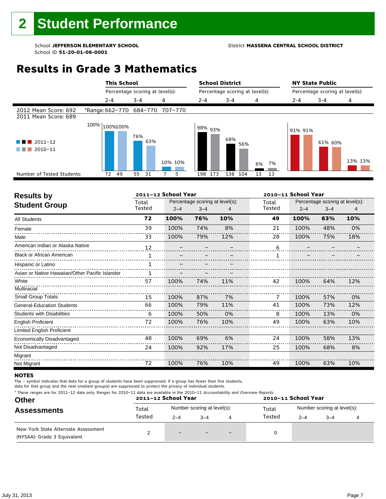#### School **JEFFERSON ELEMENTARY SCHOOL** District **MASSENA CENTRAL SCHOOL DISTRICT**

### **Results in Grade 3 Mathematics**

|                                              | <b>This School</b>              |                                 |         | <b>School District</b><br><b>NY State Public</b> |                                 |          |  |                                                              |         |  |  |
|----------------------------------------------|---------------------------------|---------------------------------|---------|--------------------------------------------------|---------------------------------|----------|--|--------------------------------------------------------------|---------|--|--|
|                                              |                                 | Percentage scoring at level(s): |         |                                                  | Percentage scoring at level(s): |          |  | Percentage scoring at level(s):<br>2-4<br>$3 - 4$<br>91% 91% |         |  |  |
|                                              | $2 - 4$                         | $3 - 4$                         | 4       | $2 - 4$                                          | $3 - 4$                         | 4        |  |                                                              | 4       |  |  |
| 2012 Mean Score: 692<br>2011 Mean Score: 689 | *Range: 662-770 684-770 707-770 |                                 |         |                                                  |                                 |          |  |                                                              |         |  |  |
| $2011 - 12$<br>4 N .<br>$2010 - 11$          | 100% 100%100%                   | 76%<br>63%                      | 10% 10% | 98% 93%                                          | 68%<br>56%                      | 7%<br>6% |  | 61% 60%                                                      | 13% 13% |  |  |
| Number of Tested Students:                   | 49<br>72                        | 55<br>31                        | 5       | 173<br>198                                       | 138<br>104                      | 13<br>13 |  |                                                              |         |  |  |
|                                              |                                 |                                 |         |                                                  |                                 |          |  |                                                              |         |  |  |

| <b>Results by</b>                               |        | 2011-12 School Year |                                 |     |        | 2010-11 School Year |                                 |     |
|-------------------------------------------------|--------|---------------------|---------------------------------|-----|--------|---------------------|---------------------------------|-----|
| <b>Student Group</b>                            | Total  |                     | Percentage scoring at level(s): |     | Total  |                     | Percentage scoring at level(s): |     |
|                                                 | Tested | $2 - 4$             | $3 - 4$                         | 4   | Tested | $2 - 4$             | $3 - 4$                         | 4   |
| <b>All Students</b>                             | 72     | 100%                | 76%                             | 10% | 49     | 100%                | 63%                             | 10% |
| Female                                          | 39     | 100%                | 74%                             | 8%  | 21     | 100%                | 48%                             | 0%  |
| Male                                            | 33     | 100%                | 79%                             | 12% | 28     | 100%                | 75%                             | 18% |
| American Indian or Alaska Native                | 12     |                     |                                 |     | 6      |                     |                                 |     |
| <b>Black or African American</b>                |        |                     |                                 |     |        |                     |                                 |     |
| Hispanic or Latino                              |        |                     |                                 |     |        |                     |                                 |     |
| Asian or Native Hawaiian/Other Pacific Islander |        |                     |                                 |     |        |                     |                                 |     |
| White                                           | 57     | 100%                | 74%                             | 11% | 42     | 100%                | 64%                             | 12% |
| Multiracial                                     |        |                     |                                 |     |        |                     |                                 |     |
| <b>Small Group Totals</b>                       | 15     | 100%                | 87%                             | 7%  |        | 100%                | 57%                             | 0%  |
| <b>General-Education Students</b>               | 66     | 100%                | 79%                             | 11% | 41     | 100%                | 73%                             | 12% |
| <b>Students with Disabilities</b>               | 6      | 100%                | 50%                             | 0%  | 8      | 100%                | 13%                             | 0%  |
| <b>English Proficient</b>                       | 72     | 100%                | 76%                             | 10% | 49     | 100%                | 63%                             | 10% |
| Limited English Proficient                      |        |                     |                                 |     |        |                     |                                 |     |
| Economically Disadvantaged                      | 48     | 100%                | 69%                             | 6%  | 24     | 100%                | 58%                             | 13% |
| Not Disadvantaged                               | 24     | 100%                | 92%                             | 17% | 25     | 100%                | 68%                             | 8%  |
| Migrant                                         |        |                     |                                 |     |        |                     |                                 |     |
| Not Migrant                                     | 72     | 100%                | 76%                             | 10% | 49     | 100%                | 63%                             | 10% |

#### **NOTES**

The – symbol indicates that data for a group of students have been suppressed. If a group has fewer than five students,

| * These ranges are for 2011–12 data only. Ranges for 2010–11 data are available in the 2010–11 Accountability and Overview Reports.<br><b>Other</b><br><b>Assessments</b> |        | 2011-12 School Year |                             |                          | 2010-11 School Year |                             |         |  |  |  |
|---------------------------------------------------------------------------------------------------------------------------------------------------------------------------|--------|---------------------|-----------------------------|--------------------------|---------------------|-----------------------------|---------|--|--|--|
|                                                                                                                                                                           | Total  |                     | Number scoring at level(s): |                          | Total<br>Tested     | Number scoring at level(s): |         |  |  |  |
|                                                                                                                                                                           | Tested | $2 - 4$             | $-4$                        | 4                        |                     | $2 - 4$                     | $3 - 4$ |  |  |  |
| New York State Alternate Assessment<br>(NYSAA): Grade 3 Equivalent                                                                                                        |        | $-$                 |                             | $\overline{\phantom{0}}$ |                     |                             |         |  |  |  |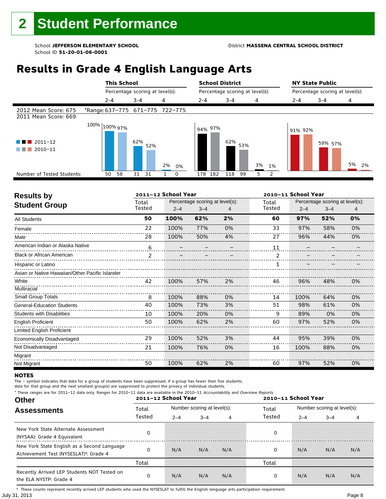### **Results in Grade 4 English Language Arts**

|                                              | <b>This School</b>              |                                 |          | <b>School District</b> |                                 |          | <b>NY State Public</b> |                                 |          |
|----------------------------------------------|---------------------------------|---------------------------------|----------|------------------------|---------------------------------|----------|------------------------|---------------------------------|----------|
|                                              |                                 | Percentage scoring at level(s): |          |                        | Percentage scoring at level(s): |          |                        | Percentage scoring at level(s): |          |
|                                              | $2 - 4$                         | $3 - 4$                         | 4        | $2 - 4$                | $3 - 4$                         | 4        | 2-4                    | $3 - 4$                         | 4        |
| 2012 Mean Score: 675<br>2011 Mean Score: 669 | *Range: 637-775 671-775 722-775 |                                 |          |                        |                                 |          |                        |                                 |          |
| $2011 - 12$<br>2010-11                       | 100% 100% 97%                   | 62%<br>52%                      | 2%<br>0% | 94% 97%                | 62%<br>53%                      | 3%<br>1% | 91% 92%                | 59% 57%                         | 5%<br>2% |
| Number of Tested Students:                   | 58<br>50                        | 31<br>- 31                      | 0        | 182<br>178             | 118<br>99                       | 2<br>5   |                        |                                 |          |
|                                              |                                 |                                 |          |                        |                                 |          |                        |                                 |          |

| <b>Results by</b>                               |                | 2011-12 School Year |                                 |    | 2010-11 School Year |         |                                 |    |  |
|-------------------------------------------------|----------------|---------------------|---------------------------------|----|---------------------|---------|---------------------------------|----|--|
| <b>Student Group</b>                            | Total          |                     | Percentage scoring at level(s): |    | Total               |         | Percentage scoring at level(s): |    |  |
|                                                 | Tested         | $2 - 4$             | $3 - 4$                         |    | Tested              | $2 - 4$ | $3 - 4$                         | 4  |  |
| All Students                                    | 50             | 100%                | 62%                             | 2% | 60                  | 97%     | 52%                             | 0% |  |
| Female                                          | 22             | 100%                | 77%                             | 0% | 33                  | 97%     | 58%                             | 0% |  |
| Male                                            | 28             | 100%                | 50%                             | 4% | 27                  | 96%     | 44%                             | 0% |  |
| American Indian or Alaska Native                | 6              |                     |                                 |    | 11                  |         |                                 |    |  |
| <b>Black or African American</b>                | $\mathfrak{p}$ |                     |                                 |    |                     |         |                                 |    |  |
| Hispanic or Latino                              |                |                     |                                 |    |                     |         |                                 |    |  |
| Asian or Native Hawaiian/Other Pacific Islander |                |                     |                                 |    |                     |         |                                 |    |  |
| White                                           | 42             | 100%                | 57%                             | 2% | 46                  | 96%     | 48%                             | 0% |  |
| Multiracial                                     |                |                     |                                 |    |                     |         |                                 |    |  |
| Small Group Totals                              | 8              | 100%                | 88%                             | 0% | 14                  | 100%    | 64%                             | 0% |  |
| <b>General-Education Students</b>               | 40             | 100%                | 73%                             | 3% | 51                  | 98%     | 61%                             | 0% |  |
| <b>Students with Disabilities</b>               | 10             | 100%                | 20%                             | 0% | 9                   | 89%     | 0%                              | 0% |  |
| English Proficient                              | 50             | 100%                | 62%                             | 2% | 60                  | 97%     | 52%                             | 0% |  |
| Limited English Proficient                      |                |                     |                                 |    |                     |         |                                 |    |  |
| Economically Disadvantaged                      | 29             | 100%                | 52%                             | 3% | 44                  | 95%     | 39%                             | 0% |  |
| Not Disadvantaged                               | 21             | 100%                | 76%                             | 0% | 16                  | 100%    | 88%                             | 0% |  |
| Migrant                                         |                |                     |                                 |    |                     |         |                                 |    |  |
| Not Migrant                                     | 50             | 100%                | 62%                             | 2% | 60                  | 97%     | 52%                             | 0% |  |

#### **NOTES**

The – symbol indicates that data for a group of students have been suppressed. If a group has fewer than five students,

data for that group and the next smallest group(s) are suppressed to protect the privacy of individual students.

\* These ranges are for 2011–12 data only. Ranges for 2010–11 data are available in the 2010–11 Accountability and Overview Reports.

| <b>Other</b>                                                                                      | 2011-12 School Year |         |                             |     | 2010-11 School Year |                             |         |     |  |  |
|---------------------------------------------------------------------------------------------------|---------------------|---------|-----------------------------|-----|---------------------|-----------------------------|---------|-----|--|--|
| <b>Assessments</b>                                                                                | Total               |         | Number scoring at level(s): |     | Total               | Number scoring at level(s): |         |     |  |  |
|                                                                                                   | Tested              | $2 - 4$ | $3 - 4$                     | 4   | Tested              | $2 - 4$                     | $3 - 4$ | 4   |  |  |
| New York State Alternate Assessment<br>(NYSAA): Grade 4 Equivalent                                | 0                   |         |                             |     | 0                   |                             |         |     |  |  |
| New York State English as a Second Language<br>Achievement Test (NYSESLAT) <sup>+</sup> : Grade 4 | 0                   | N/A     | N/A                         | N/A | 0                   | N/A                         | N/A     | N/A |  |  |
|                                                                                                   | Total               |         |                             |     | Total               |                             |         |     |  |  |
| Recently Arrived LEP Students NOT Tested on<br>the ELA NYSTP: Grade 4                             | 0                   | N/A     | N/A                         | N/A | 0                   | N/A                         | N/A     | N/A |  |  |

July 31, 2013 Page 8 † These counts represent recently arrived LEP students who used the NYSESLAT to fulfill the English language arts participation requirement.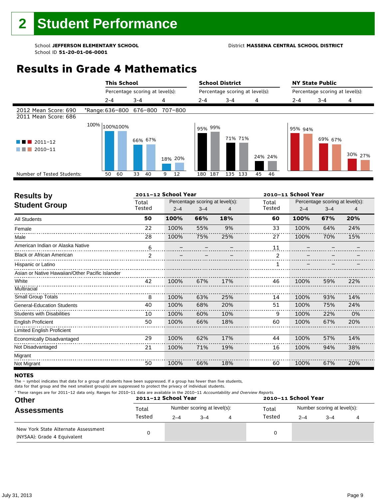#### School **JEFFERSON ELEMENTARY SCHOOL** District **MASSENA CENTRAL SCHOOL DISTRICT**

### **Results in Grade 4 Mathematics**

|                                              | <b>This School</b>      |                                 |         | <b>School District</b> |                                 |          | <b>NY State Public</b> |                                 |         |  |
|----------------------------------------------|-------------------------|---------------------------------|---------|------------------------|---------------------------------|----------|------------------------|---------------------------------|---------|--|
|                                              |                         | Percentage scoring at level(s): |         |                        | Percentage scoring at level(s): |          |                        | Percentage scoring at level(s): |         |  |
|                                              | $2 - 4$                 | $3 - 4$                         | 4       | $2 - 4$                | $3 - 4$                         | 4        | $2 - 4$                | $3 - 4$                         | 4       |  |
| 2012 Mean Score: 690<br>2011 Mean Score: 686 | *Range: 636-800 676-800 |                                 | 707-800 |                        |                                 |          |                        |                                 |         |  |
| $\blacksquare$ 2011-12<br>2010-11            | $100\%$ $ 100\%100\%$   | 66% 67%                         | 18% 20% | 95% 99%                | 71% 71%                         | 24% 24%  | 95% 94%                | 69% 67%                         | 30% 27% |  |
| Number of Tested Students:                   | 60<br>50                | 33<br>40                        | 12<br>9 | 187<br>180             | 135<br>133                      | 45<br>46 |                        |                                 |         |  |

| <b>Results by</b>                               |                | 2011-12 School Year |                                 |     | 2010-11 School Year |         |                                 |     |  |
|-------------------------------------------------|----------------|---------------------|---------------------------------|-----|---------------------|---------|---------------------------------|-----|--|
| <b>Student Group</b>                            | Total          |                     | Percentage scoring at level(s): |     | Total               |         | Percentage scoring at level(s): |     |  |
|                                                 | Tested         | $2 - 4$             | $3 - 4$                         | 4   | Tested              | $2 - 4$ | $3 - 4$                         | 4   |  |
| <b>All Students</b>                             | 50             | 100%                | 66%                             | 18% | 60                  | 100%    | 67%                             | 20% |  |
| Female                                          | 22             | 100%                | 55%                             | 9%  | 33                  | 100%    | 64%                             | 24% |  |
| Male                                            | 28             | 100%                | 75%                             | 25% | 27                  | 100%    | 70%                             | 15% |  |
| American Indian or Alaska Native                | 6              |                     |                                 |     | 11                  |         |                                 |     |  |
| <b>Black or African American</b>                | $\overline{2}$ |                     |                                 |     | $\overline{2}$      |         |                                 |     |  |
| Hispanic or Latino                              |                |                     |                                 |     |                     |         |                                 |     |  |
| Asian or Native Hawaiian/Other Pacific Islander |                |                     |                                 |     |                     |         |                                 |     |  |
| White                                           | 42             | 100%                | 67%                             | 17% | 46                  | 100%    | 59%                             | 22% |  |
| Multiracial                                     |                |                     |                                 |     |                     |         |                                 |     |  |
| Small Group Totals                              | 8              | 100%                | 63%                             | 25% | 14                  | 100%    | 93%                             | 14% |  |
| <b>General-Education Students</b>               | 40             | 100%                | 68%                             | 20% | 51                  | 100%    | 75%                             | 24% |  |
| <b>Students with Disabilities</b>               | 10             | 100%                | 60%                             | 10% | 9                   | 100%    | 22%                             | 0%  |  |
| <b>English Proficient</b>                       | 50             | 100%                | 66%                             | 18% | 60                  | 100%    | 67%                             | 20% |  |
| Limited English Proficient                      |                |                     |                                 |     |                     |         |                                 |     |  |
| Economically Disadvantaged                      | 29             | 100%                | 62%                             | 17% | 44                  | 100%    | 57%                             | 14% |  |
| Not Disadvantaged                               | 21             | 100%                | 71%                             | 19% | 16                  | 100%    | 94%                             | 38% |  |
| Migrant                                         |                |                     |                                 |     |                     |         |                                 |     |  |
| Not Migrant                                     | 50             | 100%                | 66%                             | 18% | 60                  | 100%    | 67%                             | 20% |  |

#### **NOTES**

The – symbol indicates that data for a group of students have been suppressed. If a group has fewer than five students,

|  | * These ranges are for 2011-12 data only. Ranges for 2010-11 data are available in the 2010-11 Accountability and Overview Reports. |
|--|-------------------------------------------------------------------------------------------------------------------------------------|
|  |                                                                                                                                     |

| <b>Other</b>                                                       |        | 2011-12 School Year |                             |   | 2010-11 School Year |         |                             |  |  |  |
|--------------------------------------------------------------------|--------|---------------------|-----------------------------|---|---------------------|---------|-----------------------------|--|--|--|
| <b>Assessments</b>                                                 | Total  |                     | Number scoring at level(s): |   | Total               |         | Number scoring at level(s): |  |  |  |
|                                                                    | Tested | $2 - 4$             | $3 - 4$                     | 4 | Tested              | $2 - 4$ | $3 - 4$                     |  |  |  |
| New York State Alternate Assessment<br>(NYSAA): Grade 4 Equivalent |        |                     |                             |   | 0                   |         |                             |  |  |  |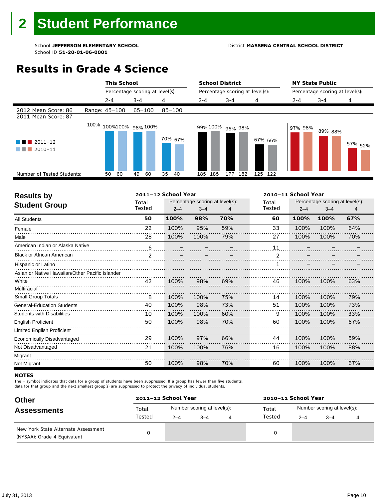#### School **JEFFERSON ELEMENTARY SCHOOL** District **MASSENA CENTRAL SCHOOL DISTRICT**

### **Results in Grade 4 Science**

|                                                                 | <b>This School</b>        |                                 |                    |            | <b>School District</b>          |         | <b>NY State Public</b>          |         |                    |  |  |
|-----------------------------------------------------------------|---------------------------|---------------------------------|--------------------|------------|---------------------------------|---------|---------------------------------|---------|--------------------|--|--|
|                                                                 |                           | Percentage scoring at level(s): |                    |            | Percentage scoring at level(s): |         | Percentage scoring at level(s): |         |                    |  |  |
|                                                                 | $2 - 4$                   | $3 - 4$                         | 4                  | $2 - 4$    | $3 - 4$                         | 4       | $2 - 4$                         | $3 - 4$ | 4                  |  |  |
| 2012 Mean Score: 86<br>2011 Mean Score: 87                      | Range: 45-100             | 65-100                          | $85 - 100$         |            |                                 |         |                                 |         |                    |  |  |
| $\blacksquare$ 2011-12<br><b>Tara</b><br>$\blacksquare$ 2010-11 | $100\%$ 100%100% 98% 100% |                                 | 70% <sub>67%</sub> |            | 99%100% 95% 98%                 | 67% 66% | 97% 98%                         | 89% 88% | 57% <sub>52%</sub> |  |  |
| Number of Tested Students:                                      | 60<br>50                  | 60<br>49                        | 35<br>40           | 185<br>185 | 177<br>182                      | 125 122 |                                 |         |                    |  |  |
|                                                                 |                           |                                 |                    |            |                                 |         |                                 |         |                    |  |  |

| Percentage scoring at level(s):<br>Percentage scoring at level(s):<br>Total<br>Total<br><b>Student Group</b><br>Tested<br>Tested<br>$2 - 4$<br>$2 - 4$<br>$3 - 4$<br>$3 - 4$<br>4<br>50<br>100%<br>98%<br>70%<br>60<br>100%<br>67%<br>100%<br><b>All Students</b><br>22<br>59%<br>33<br>100%<br>95%<br>100%<br>100%<br>64%<br>Female<br>28<br>27<br>100%<br>100%<br>100%<br>100%<br>70%<br>79%<br>Male<br>American Indian or Alaska Native<br>6<br>11<br><b>Black or African American</b><br>$\overline{2}$<br>$\mathfrak{p}$<br>Hispanic or Latino<br>Asian or Native Hawaiian/Other Pacific Islander<br>White<br>42<br>100%<br>100%<br>98%<br>69%<br>46<br>100%<br>63%<br>Multiracial<br>Small Group Totals<br>100%<br>100%<br>75%<br>79%<br>8<br>100%<br>100%<br>14<br>40<br>51<br>100%<br>98%<br>100%<br>73%<br>73%<br>100%<br><b>General-Education Students</b><br><b>Students with Disabilities</b><br>100%<br>100%<br>100%<br>100%<br>33%<br>10<br>60%<br>9<br>50<br>100%<br>70%<br>60<br>100%<br>100%<br>67%<br>98%<br><b>English Proficient</b><br>Limited English Proficient<br>29<br>100%<br>97%<br>100%<br>59%<br>66%<br>44<br>100%<br>Economically Disadvantaged<br>Not Disadvantaged<br>21<br>100%<br>100%<br>76%<br>16<br>100%<br>100%<br>88%<br>Migrant | <b>Results by</b> |    | 2011-12 School Year |     |     | 2010-11 School Year |      |      |     |  |
|-------------------------------------------------------------------------------------------------------------------------------------------------------------------------------------------------------------------------------------------------------------------------------------------------------------------------------------------------------------------------------------------------------------------------------------------------------------------------------------------------------------------------------------------------------------------------------------------------------------------------------------------------------------------------------------------------------------------------------------------------------------------------------------------------------------------------------------------------------------------------------------------------------------------------------------------------------------------------------------------------------------------------------------------------------------------------------------------------------------------------------------------------------------------------------------------------------------------------------------------------------------------------|-------------------|----|---------------------|-----|-----|---------------------|------|------|-----|--|
|                                                                                                                                                                                                                                                                                                                                                                                                                                                                                                                                                                                                                                                                                                                                                                                                                                                                                                                                                                                                                                                                                                                                                                                                                                                                         |                   |    |                     |     |     |                     |      |      |     |  |
|                                                                                                                                                                                                                                                                                                                                                                                                                                                                                                                                                                                                                                                                                                                                                                                                                                                                                                                                                                                                                                                                                                                                                                                                                                                                         |                   |    |                     |     |     |                     |      |      |     |  |
|                                                                                                                                                                                                                                                                                                                                                                                                                                                                                                                                                                                                                                                                                                                                                                                                                                                                                                                                                                                                                                                                                                                                                                                                                                                                         |                   |    |                     |     |     |                     |      |      |     |  |
|                                                                                                                                                                                                                                                                                                                                                                                                                                                                                                                                                                                                                                                                                                                                                                                                                                                                                                                                                                                                                                                                                                                                                                                                                                                                         |                   |    |                     |     |     |                     |      |      |     |  |
|                                                                                                                                                                                                                                                                                                                                                                                                                                                                                                                                                                                                                                                                                                                                                                                                                                                                                                                                                                                                                                                                                                                                                                                                                                                                         |                   |    |                     |     |     |                     |      |      |     |  |
|                                                                                                                                                                                                                                                                                                                                                                                                                                                                                                                                                                                                                                                                                                                                                                                                                                                                                                                                                                                                                                                                                                                                                                                                                                                                         |                   |    |                     |     |     |                     |      |      |     |  |
|                                                                                                                                                                                                                                                                                                                                                                                                                                                                                                                                                                                                                                                                                                                                                                                                                                                                                                                                                                                                                                                                                                                                                                                                                                                                         |                   |    |                     |     |     |                     |      |      |     |  |
|                                                                                                                                                                                                                                                                                                                                                                                                                                                                                                                                                                                                                                                                                                                                                                                                                                                                                                                                                                                                                                                                                                                                                                                                                                                                         |                   |    |                     |     |     |                     |      |      |     |  |
|                                                                                                                                                                                                                                                                                                                                                                                                                                                                                                                                                                                                                                                                                                                                                                                                                                                                                                                                                                                                                                                                                                                                                                                                                                                                         |                   |    |                     |     |     |                     |      |      |     |  |
|                                                                                                                                                                                                                                                                                                                                                                                                                                                                                                                                                                                                                                                                                                                                                                                                                                                                                                                                                                                                                                                                                                                                                                                                                                                                         |                   |    |                     |     |     |                     |      |      |     |  |
|                                                                                                                                                                                                                                                                                                                                                                                                                                                                                                                                                                                                                                                                                                                                                                                                                                                                                                                                                                                                                                                                                                                                                                                                                                                                         |                   |    |                     |     |     |                     |      |      |     |  |
|                                                                                                                                                                                                                                                                                                                                                                                                                                                                                                                                                                                                                                                                                                                                                                                                                                                                                                                                                                                                                                                                                                                                                                                                                                                                         |                   |    |                     |     |     |                     |      |      |     |  |
|                                                                                                                                                                                                                                                                                                                                                                                                                                                                                                                                                                                                                                                                                                                                                                                                                                                                                                                                                                                                                                                                                                                                                                                                                                                                         |                   |    |                     |     |     |                     |      |      |     |  |
|                                                                                                                                                                                                                                                                                                                                                                                                                                                                                                                                                                                                                                                                                                                                                                                                                                                                                                                                                                                                                                                                                                                                                                                                                                                                         |                   |    |                     |     |     |                     |      |      |     |  |
|                                                                                                                                                                                                                                                                                                                                                                                                                                                                                                                                                                                                                                                                                                                                                                                                                                                                                                                                                                                                                                                                                                                                                                                                                                                                         |                   |    |                     |     |     |                     |      |      |     |  |
|                                                                                                                                                                                                                                                                                                                                                                                                                                                                                                                                                                                                                                                                                                                                                                                                                                                                                                                                                                                                                                                                                                                                                                                                                                                                         |                   |    |                     |     |     |                     |      |      |     |  |
|                                                                                                                                                                                                                                                                                                                                                                                                                                                                                                                                                                                                                                                                                                                                                                                                                                                                                                                                                                                                                                                                                                                                                                                                                                                                         |                   |    |                     |     |     |                     |      |      |     |  |
|                                                                                                                                                                                                                                                                                                                                                                                                                                                                                                                                                                                                                                                                                                                                                                                                                                                                                                                                                                                                                                                                                                                                                                                                                                                                         |                   |    |                     |     |     |                     |      |      |     |  |
|                                                                                                                                                                                                                                                                                                                                                                                                                                                                                                                                                                                                                                                                                                                                                                                                                                                                                                                                                                                                                                                                                                                                                                                                                                                                         | Not Migrant       | 50 | 100%                | 98% | 70% | 60                  | 100% | 100% | 67% |  |

#### **NOTES**

The – symbol indicates that data for a group of students have been suppressed. If a group has fewer than five students,

| <b>Other</b>                                                       | 2011-12 School Year |         |                             | 2010-11 School Year |         |                             |  |  |  |
|--------------------------------------------------------------------|---------------------|---------|-----------------------------|---------------------|---------|-----------------------------|--|--|--|
| <b>Assessments</b>                                                 | Total               |         | Number scoring at level(s): | Total               |         | Number scoring at level(s): |  |  |  |
|                                                                    | Tested              | $2 - 4$ | $3 - 4$                     | Tested              | $2 - 4$ | $3 - 4$                     |  |  |  |
| New York State Alternate Assessment<br>(NYSAA): Grade 4 Equivalent |                     |         |                             |                     |         |                             |  |  |  |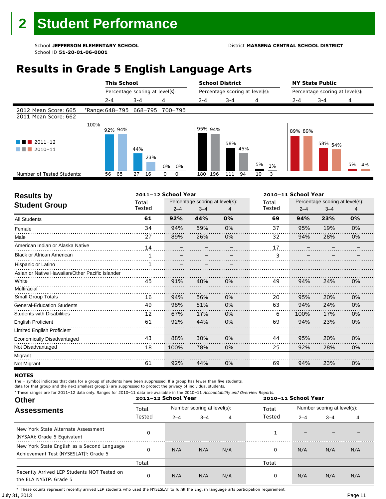### **Results in Grade 5 English Language Arts**

|                                                            |                                 |         | <b>This School</b> |         |                                 |    |             | <b>School District</b> |         |         |                                 |    | <b>NY State Public</b> |                                 |         |  |    |    |
|------------------------------------------------------------|---------------------------------|---------|--------------------|---------|---------------------------------|----|-------------|------------------------|---------|---------|---------------------------------|----|------------------------|---------------------------------|---------|--|----|----|
|                                                            |                                 |         |                    |         | Percentage scoring at level(s): |    |             |                        |         |         | Percentage scoring at level(s): |    |                        | Percentage scoring at level(s): |         |  |    |    |
|                                                            |                                 | $2 - 4$ |                    | $3 - 4$ |                                 | 4  |             | $2 - 4$                |         | $3 - 4$ |                                 | 4  |                        | $2 - 4$                         | $3 - 4$ |  | 4  |    |
| 2012 Mean Score: 665<br>2011 Mean Score: 662               | *Range: 648-795 668-795 700-795 |         |                    |         |                                 |    |             |                        |         |         |                                 |    |                        |                                 |         |  |    |    |
| $\blacksquare$ 2011-12<br>a di kacamatan<br>2010-11<br>. . | 100%                            |         | 92% 94%            | 44%     | 23%                             | 0% | 0%          |                        | 95% 94% | 58%     | 45%                             | 5% | 1%                     | 89% 89%                         | 58% 54% |  | 5% | 4% |
| Number of Tested Students:                                 |                                 | 56      | 65                 | 27      | 16                              | 0  | $\mathbf 0$ | 180                    | 196     | 111     | 94                              | 10 | 3                      |                                 |         |  |    |    |
|                                                            |                                 |         |                    |         |                                 |    |             |                        |         |         |                                 |    |                        |                                 |         |  |    |    |

| <b>Results by</b>                               |        | 2011-12 School Year |                                 |    | 2010-11 School Year |         |                                 |    |  |
|-------------------------------------------------|--------|---------------------|---------------------------------|----|---------------------|---------|---------------------------------|----|--|
| <b>Student Group</b>                            | Total  |                     | Percentage scoring at level(s): |    | Total               |         | Percentage scoring at level(s): |    |  |
|                                                 | Tested | $2 - 4$             | $3 - 4$                         |    | Tested              | $2 - 4$ | $3 - 4$                         | 4  |  |
| <b>All Students</b>                             | 61     | 92%                 | 44%                             | 0% | 69                  | 94%     | 23%                             | 0% |  |
| Female                                          | 34     | 94%                 | 59%                             | 0% | 37                  | 95%     | 19%                             | 0% |  |
| Male                                            | 27     | 89%                 | 26%                             | 0% | 32                  | 94%     | 28%                             | 0% |  |
| American Indian or Alaska Native                | 14     |                     |                                 |    | 17                  |         |                                 |    |  |
| <b>Black or African American</b>                |        |                     |                                 |    | 3                   |         |                                 |    |  |
| Hispanic or Latino                              |        |                     |                                 |    |                     |         |                                 |    |  |
| Asian or Native Hawaiian/Other Pacific Islander |        |                     |                                 |    |                     |         |                                 |    |  |
| White                                           | 45     | 91%                 | 40%                             | 0% | 49                  | 94%     | 24%                             | 0% |  |
| Multiracial                                     |        |                     |                                 |    |                     |         |                                 |    |  |
| Small Group Totals                              | 16     | 94%                 | 56%                             | 0% | 20                  | 95%     | 20%                             | 0% |  |
| <b>General-Education Students</b>               | 49     | 98%                 | 51%                             | 0% | 63                  | 94%     | 24%                             | 0% |  |
| <b>Students with Disabilities</b>               | 12     | 67%                 | 17%                             | 0% | 6                   | 100%    | 17%                             | 0% |  |
| <b>English Proficient</b>                       | 61     | 92%                 | 44%                             | 0% | 69                  | 94%     | 23%                             | 0% |  |
| Limited English Proficient                      |        |                     |                                 |    |                     |         |                                 |    |  |
| Economically Disadvantaged                      | 43     | 88%                 | 30%                             | 0% | 44                  | 95%     | 20%                             | 0% |  |
| Not Disadvantaged                               | 18     | 100%                | 78%                             | 0% | 25                  | 92%     | 28%                             | 0% |  |
| Migrant                                         |        |                     |                                 |    |                     |         |                                 |    |  |
| Not Migrant                                     | 61     | 92%                 | 44%                             | 0% | 69                  | 94%     | 23%                             | 0% |  |

#### **NOTES**

The – symbol indicates that data for a group of students have been suppressed. If a group has fewer than five students,

**Other Assessments**  2011-12 School Year Number scoring at level(s): Total Number scoring at level(s): 2–4 3–4 4 2–4 3–4 4 data for that group and the next smallest group(s) are suppressed to protect the privacy of individual students. \* These ranges are for 2011–12 data only. Ranges for 2010–11 data are available in the 2010–11 Accountability and Overview Reports. **2011–12 School Year 2010–11 School Year** Total Tested Total Tested New York State Alternate Assessment (NYSAA): Grade 5 Equivalent <sup>0</sup> <sup>1</sup> – – – New York State English as a Second Language Achievement Test (NYSESLAT)†: Grade 5 <sup>0</sup> N/A N/A N/A <sup>0</sup> N/A N/A N/A Total Total Recently Arrived LEP Students NOT Tested on the ELA NYSTP: Grade 5 0 N/A N/A N/A 0 N/A N/A N/A

July 31, 2013 Page 11 † These counts represent recently arrived LEP students who used the NYSESLAT to fulfill the English language arts participation requirement.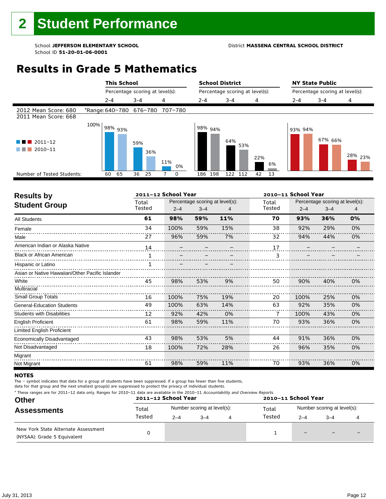#### School **JEFFERSON ELEMENTARY SCHOOL** District **MASSENA CENTRAL SCHOOL DISTRICT**

### **Results in Grade 5 Mathematics**

|                                              |                                 |         | <b>This School</b> |         |                                 |     |    |         |         | <b>School District</b> |                                 |     |    |         | <b>NY State Public</b>          |                    |
|----------------------------------------------|---------------------------------|---------|--------------------|---------|---------------------------------|-----|----|---------|---------|------------------------|---------------------------------|-----|----|---------|---------------------------------|--------------------|
|                                              |                                 |         |                    |         | Percentage scoring at level(s): |     |    |         |         |                        | Percentage scoring at level(s): |     |    |         | Percentage scoring at level(s): |                    |
|                                              |                                 | $2 - 4$ |                    | $3 - 4$ |                                 | 4   |    | $2 - 4$ |         | $3 - 4$                |                                 | 4   |    | $2 - 4$ | $3 - 4$                         | 4                  |
| 2012 Mean Score: 680<br>2011 Mean Score: 668 | *Range: 640-780 676-780 707-780 |         |                    |         |                                 |     |    |         |         |                        |                                 |     |    |         |                                 |                    |
| $2011 - 12$<br>2010-11                       | 100%                            |         | 98% <sub>93%</sub> | 59%     | 36%                             | 11% | 0% |         | 98% 94% | 64%                    | 53%                             | 22% | 6% | 93% 94% | 67% 66%                         | <sup>28%</sup> 23% |
| Number of Tested Students:                   |                                 | 60      | 65                 | 36      | 25                              |     | 0  | 186     | 198     |                        | 122 112                         | 42  | 13 |         |                                 |                    |
|                                              |                                 |         |                    |         |                                 |     |    |         |         |                        |                                 |     |    |         |                                 |                    |

| <b>Results by</b>                               |        | 2011-12 School Year |                                 |     |        | 2010-11 School Year |                                 |    |
|-------------------------------------------------|--------|---------------------|---------------------------------|-----|--------|---------------------|---------------------------------|----|
| <b>Student Group</b>                            | Total  |                     | Percentage scoring at level(s): |     | Total  |                     | Percentage scoring at level(s): |    |
|                                                 | Tested | $2 - 4$             | $3 - 4$                         |     | Tested | $2 - 4$             | $3 - 4$                         |    |
| <b>All Students</b>                             | 61     | 98%                 | 59%                             | 11% | 70     | 93%                 | 36%                             | 0% |
| Female                                          | 34     | 100%                | 59%                             | 15% | 38     | 92%                 | 29%                             | 0% |
| Male                                            | 27     | 96%                 | 59%                             | 7%  | 32     | 94%                 | 44%                             | 0% |
| American Indian or Alaska Native                | 14     |                     |                                 |     | 17     |                     |                                 |    |
| <b>Black or African American</b>                |        |                     |                                 |     | 3      |                     |                                 |    |
| Hispanic or Latino                              |        |                     |                                 |     |        |                     |                                 |    |
| Asian or Native Hawaiian/Other Pacific Islander |        |                     |                                 |     |        |                     |                                 |    |
| White                                           | 45     | 98%                 | 53%                             | 9%  | 50     | 90%                 | 40%                             | 0% |
| Multiracial                                     |        |                     |                                 |     |        |                     |                                 |    |
| Small Group Totals                              | 16     | 100%                | 75%                             | 19% | 20     | 100%                | 25%                             | 0% |
| <b>General-Education Students</b>               | 49     | 100%                | 63%                             | 14% | 63     | 92%                 | 35%                             | 0% |
| <b>Students with Disabilities</b>               | 12     | 92%                 | 42%                             | 0%  | 7      | 100%                | 43%                             | 0% |
| <b>English Proficient</b>                       | 61     | 98%                 | 59%                             | 11% | 70     | 93%                 | 36%                             | 0% |
| Limited English Proficient                      |        |                     |                                 |     |        |                     |                                 |    |
| Economically Disadvantaged                      | 43     | 98%                 | 53%                             | 5%  | 44     | 91%                 | 36%                             | 0% |
| Not Disadvantaged                               | 18     | 100%                | 72%                             | 28% | 26     | 96%                 | 35%                             | 0% |
| Migrant                                         |        |                     |                                 |     |        |                     |                                 |    |
| Not Migrant                                     | 61     | 98%                 | 59%                             | 11% | 70     | 93%                 | 36%                             | 0% |

#### **NOTES**

The – symbol indicates that data for a group of students have been suppressed. If a group has fewer than five students,

| <b>Anderson Cabani Vanu</b><br>--                                                                                                           | $\begin{array}{ccc}\n\bullet & \bullet & \bullet & \bullet & \bullet & \bullet & \bullet\n\end{array}$ |
|---------------------------------------------------------------------------------------------------------------------------------------------|--------------------------------------------------------------------------------------------------------|
| * These ranges are for 2011–12 data only. Ranges for 2010–11 data are available in the 2010–11 <i>Accountability and Overview Reports</i> . |                                                                                                        |

| Other                                                              |        | 2011-12 School Year |                             |        | 2010-11 School Year         |  | $3 - 4$<br>$\qquad \qquad \blacksquare$<br>$\overline{\phantom{0}}$ |  |
|--------------------------------------------------------------------|--------|---------------------|-----------------------------|--------|-----------------------------|--|---------------------------------------------------------------------|--|
| <b>Assessments</b>                                                 | Total  |                     | Number scoring at level(s): | Total  | Number scoring at level(s): |  |                                                                     |  |
|                                                                    | Tested | $2 - 4$             | $3 - 4$                     | Tested | $2 - 4$                     |  |                                                                     |  |
| New York State Alternate Assessment<br>(NYSAA): Grade 5 Equivalent |        |                     |                             |        | $\qquad \qquad -$           |  |                                                                     |  |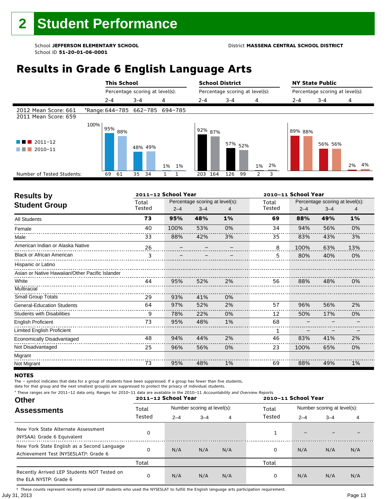### **Results in Grade 6 English Language Arts**

|                                              |      | <b>This School</b> |          |                                 |         | <b>School District</b>          |                    |          | <b>NY State Public</b> |                                 |          |  |
|----------------------------------------------|------|--------------------|----------|---------------------------------|---------|---------------------------------|--------------------|----------|------------------------|---------------------------------|----------|--|
|                                              |      |                    |          | Percentage scoring at level(s): |         | Percentage scoring at level(s): |                    |          |                        | Percentage scoring at level(s): |          |  |
|                                              |      | $2 - 4$            | $3 - 4$  | 4                               | $2 - 4$ | $3 - 4$                         | 4                  |          | $2 - 4$                | $3 - 4$                         | 4        |  |
| 2012 Mean Score: 661<br>2011 Mean Score: 659 |      |                    |          | *Range: 644-785 662-785 694-785 |         |                                 |                    |          |                        |                                 |          |  |
| $\blacksquare$ 2011-12<br>2010-11            | 100% | 95%<br>88%         | 48% 49%  | 1%<br>1%                        |         | l <sup>92%</sup> 87%            | 57% <sub>52%</sub> | 2%<br>1% | 89% 88%                | 56% 56%                         | 4%<br>2% |  |
| Number of Tested Students:                   |      | 69<br>61           | 35<br>34 |                                 | 203     | 164<br>126                      | 99                 | 3<br>2   |                        |                                 |          |  |
|                                              |      |                    |          |                                 |         |                                 |                    |          |                        |                                 |          |  |

| <b>Results by</b>                               |        | 2011-12 School Year |                                 |    | 2010-11 School Year |         |                                 |       |  |  |
|-------------------------------------------------|--------|---------------------|---------------------------------|----|---------------------|---------|---------------------------------|-------|--|--|
| <b>Student Group</b>                            | Total  |                     | Percentage scoring at level(s): |    | Total               |         | Percentage scoring at level(s): |       |  |  |
|                                                 | Tested | $2 - 4$             | $3 - 4$                         |    | Tested              | $2 - 4$ | $3 - 4$                         | 4     |  |  |
| <b>All Students</b>                             | 73     | 95%                 | 48%                             | 1% | 69                  | 88%     | 49%                             | $1\%$ |  |  |
| Female                                          | 40     | 100%                | 53%                             | 0% | 34                  | 94%     | 56%                             | 0%    |  |  |
| Male                                            | 33     | 88%                 | 42%                             | 3% | 35                  | 83%     | 43%                             | 3%    |  |  |
| American Indian or Alaska Native                | 26     |                     |                                 |    | 8                   | 100%    | 63%                             | 13%   |  |  |
| <b>Black or African American</b>                | 3      |                     |                                 |    | 5.                  | 80%     | 40%                             | 0%    |  |  |
| Hispanic or Latino                              |        |                     |                                 |    |                     |         |                                 |       |  |  |
| Asian or Native Hawaiian/Other Pacific Islander |        |                     |                                 |    |                     |         |                                 |       |  |  |
| White                                           | 44     | 95%                 | 52%                             | 2% | 56                  | 88%     | 48%                             | 0%    |  |  |
| Multiracial                                     |        |                     |                                 |    |                     |         |                                 |       |  |  |
| <b>Small Group Totals</b>                       | 29     | 93%                 | 41%                             | 0% |                     |         |                                 |       |  |  |
| <b>General-Education Students</b>               | 64     | 97%                 | 52%                             | 2% | 57                  | 96%     | 56%                             | 2%    |  |  |
| <b>Students with Disabilities</b>               | 9      | 78%                 | 22%                             | 0% | 12                  | 50%     | 17%                             | 0%    |  |  |
| English Proficient                              | 73     | 95%                 | 48%                             | 1% | 68                  |         |                                 |       |  |  |
| Limited English Proficient                      |        |                     |                                 |    | 1                   |         |                                 |       |  |  |
| Economically Disadvantaged                      | 48     | 94%                 | 44%                             | 2% | 46                  | 83%     | 41%                             | 2%    |  |  |
| Not Disadvantaged                               | 25     | 96%                 | 56%                             | 0% | 23                  | 100%    | 65%                             | 0%    |  |  |
| Migrant                                         |        |                     |                                 |    |                     |         |                                 |       |  |  |
| Not Migrant                                     | 73     | 95%                 | 48%                             | 1% | 69                  | 88%     | 49%                             | 1%    |  |  |

#### **NOTES**

The – symbol indicates that data for a group of students have been suppressed. If a group has fewer than five students,

data for that group and the next smallest group(s) are suppressed to protect the privacy of individual students.

| * These ranges are for 2011-12 data only. Ranges for 2010-11 data are available in the 2010-11 Accountability and Overview Reports.<br><b>Other</b> | 2011-12 School Year | 2010-11 School Year |                             |                             |        |         |         |     |
|-----------------------------------------------------------------------------------------------------------------------------------------------------|---------------------|---------------------|-----------------------------|-----------------------------|--------|---------|---------|-----|
| <b>Assessments</b>                                                                                                                                  | Total               |                     | Number scoring at level(s): | Number scoring at level(s): |        |         |         |     |
|                                                                                                                                                     | Tested              | $2 - 4$             | $3 - 4$                     | 4                           | Tested | $2 - 4$ | $3 - 4$ | 4   |
| New York State Alternate Assessment<br>(NYSAA): Grade 6 Equivalent                                                                                  | <sup>0</sup>        |                     |                             |                             |        |         |         |     |
| New York State English as a Second Language<br>Achievement Test (NYSESLAT) <sup>†</sup> : Grade 6                                                   | <sup>0</sup>        | N/A                 | N/A                         | N/A                         | 0      | N/A     | N/A     | N/A |
|                                                                                                                                                     | Total               |                     |                             |                             | Total  |         |         |     |
| Recently Arrived LEP Students NOT Tested on<br>the ELA NYSTP: Grade 6                                                                               | 0                   | N/A                 | N/A                         | N/A                         | 0      | N/A     | N/A     | N/A |

July 31, 2013 Page 13 † These counts represent recently arrived LEP students who used the NYSESLAT to fulfill the English language arts participation requirement.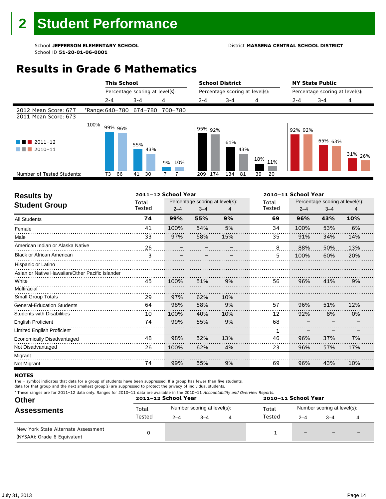#### School **JEFFERSON ELEMENTARY SCHOOL** District **MASSENA CENTRAL SCHOOL DISTRICT**

### **Results in Grade 6 Mathematics**

|                                              |                                 |         | <b>This School</b> |         |                                 |    |     |         |         | <b>School District</b>          |     |     |     | <b>NY State Public</b> |                                 |                    |
|----------------------------------------------|---------------------------------|---------|--------------------|---------|---------------------------------|----|-----|---------|---------|---------------------------------|-----|-----|-----|------------------------|---------------------------------|--------------------|
|                                              |                                 |         |                    |         | Percentage scoring at level(s): |    |     |         |         | Percentage scoring at level(s): |     |     |     |                        | Percentage scoring at level(s): |                    |
|                                              |                                 | $2 - 4$ |                    | $3 - 4$ |                                 | 4  |     | $2 - 4$ |         | $3 - 4$                         |     | 4   |     | $2 - 4$                | $3 - 4$                         | 4                  |
| 2012 Mean Score: 677<br>2011 Mean Score: 673 | *Range: 640-780 674-780 700-780 |         |                    |         |                                 |    |     |         |         |                                 |     |     |     |                        |                                 |                    |
| $2011 - 12$<br>2010-11                       | 100%                            | 99% 96% |                    | 55%     | 43%                             | 9% | 10% |         | 95% 92% | 61%                             | 43% | 18% | 11% | 92% 92%                | 65% 63%                         | 31% <sub>26%</sub> |
| Number of Tested Students:                   |                                 | 73      | 66                 | 41      | 30                              |    |     | 209     | 174     | 134                             | 81  | 39  | 20  |                        |                                 |                    |
|                                              |                                 |         |                    |         |                                 |    |     |         |         |                                 |     |     |     |                        |                                 |                    |

| <b>Results by</b>                               | 2011-12 School Year<br>2010-11 School Year |         |                                 |     |        |         |                                 |     |
|-------------------------------------------------|--------------------------------------------|---------|---------------------------------|-----|--------|---------|---------------------------------|-----|
| <b>Student Group</b>                            | Total                                      |         | Percentage scoring at level(s): |     | Total  |         | Percentage scoring at level(s): |     |
|                                                 | Tested                                     | $2 - 4$ | $3 - 4$                         | 4   | Tested | $2 - 4$ | $3 - 4$                         | 4   |
| <b>All Students</b>                             | 74                                         | 99%     | 55%                             | 9%  | 69     | 96%     | 43%                             | 10% |
| Female                                          | 41                                         | 100%    | 54%                             | 5%  | 34     | 100%    | 53%                             | 6%  |
| Male                                            | 33                                         | 97%     | 58%                             | 15% | 35     | 91%     | 34%                             | 14% |
| American Indian or Alaska Native                | 26                                         |         |                                 |     | 8      | 88%     | 50%                             | 13% |
| <b>Black or African American</b>                | 3                                          |         |                                 |     | 5      | 100%    | 60%                             | 20% |
| Hispanic or Latino                              |                                            |         |                                 |     |        |         |                                 |     |
| Asian or Native Hawaiian/Other Pacific Islander |                                            |         |                                 |     |        |         |                                 |     |
| White                                           | 45                                         | 100%    | 51%                             | 9%  | 56     | 96%     | 41%                             | 9%  |
| Multiracial                                     |                                            |         |                                 |     |        |         |                                 |     |
| Small Group Totals                              | 29                                         | 97%     | 62%                             | 10% |        |         |                                 |     |
| <b>General-Education Students</b>               | 64                                         | 98%     | 58%                             | 9%  | 57     | 96%     | 51%                             | 12% |
| <b>Students with Disabilities</b>               | 10                                         | 100%    | 40%                             | 10% | 12     | 92%     | 8%                              | 0%  |
| <b>English Proficient</b>                       | 74                                         | 99%     | 55%                             | 9%  | 68     |         |                                 |     |
| Limited English Proficient                      |                                            |         |                                 |     | 1      |         |                                 |     |
| Economically Disadvantaged                      | 48                                         | 98%     | 52%                             | 13% | 46     | 96%     | 37%                             | 7%  |
| Not Disadvantaged                               | 26                                         | 100%    | 62%                             | 4%  | 23     | 96%     | 57%                             | 17% |
| Migrant                                         |                                            |         |                                 |     |        |         |                                 |     |
| Not Migrant                                     | 74                                         | 99%     | 55%                             | 9%  | 69     | 96%     | 43%                             | 10% |

#### **NOTES**

The – symbol indicates that data for a group of students have been suppressed. If a group has fewer than five students,

| * These ranges are for 2011–12 data only. Ranges for 2010–11 data are available in the 2010–11 Accountability and Overview Reports. |  |
|-------------------------------------------------------------------------------------------------------------------------------------|--|
|                                                                                                                                     |  |

| <b>Other</b>                                                       |        | 2011-12 School Year |                             |   |        | 2010-11 School Year |                             |                          |  |  |
|--------------------------------------------------------------------|--------|---------------------|-----------------------------|---|--------|---------------------|-----------------------------|--------------------------|--|--|
| <b>Assessments</b>                                                 | Total  |                     | Number scoring at level(s): |   | Total  |                     | Number scoring at level(s): |                          |  |  |
|                                                                    | Tested | $2 - 4$             | $3 - 4$                     | 4 | Tested | $2 - 4$             | $3 - 4$                     |                          |  |  |
| New York State Alternate Assessment<br>(NYSAA): Grade 6 Equivalent |        |                     |                             |   |        | $\qquad \qquad -$   | $\overline{\phantom{0}}$    | $\overline{\phantom{0}}$ |  |  |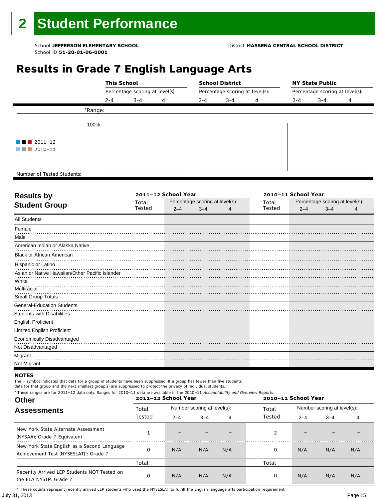### **Results in Grade 7 English Language Arts**

|                                       |         | <b>This School</b>              |   |         | <b>School District</b>          |   |         | <b>NY State Public</b>          |   |  |  |
|---------------------------------------|---------|---------------------------------|---|---------|---------------------------------|---|---------|---------------------------------|---|--|--|
|                                       |         | Percentage scoring at level(s): |   |         | Percentage scoring at level(s): |   |         | Percentage scoring at level(s): |   |  |  |
|                                       | $2 - 4$ | $3 - 4$                         | 4 | $2 - 4$ | $3 - 4$                         | 4 | $2 - 4$ | $3 - 4$                         | 4 |  |  |
|                                       | *Range: |                                 |   |         |                                 |   |         |                                 |   |  |  |
|                                       | 100%    |                                 |   |         |                                 |   |         |                                 |   |  |  |
| $\blacksquare$ $\blacksquare$ 2011-12 |         |                                 |   |         |                                 |   |         |                                 |   |  |  |
| $\blacksquare$ 2010-11                |         |                                 |   |         |                                 |   |         |                                 |   |  |  |
|                                       |         |                                 |   |         |                                 |   |         |                                 |   |  |  |
| Number of Tested Students:            |         |                                 |   |         |                                 |   |         |                                 |   |  |  |

٦

|        |         |         | 2010-11 School Year |                                 |         |         |                                 |
|--------|---------|---------|---------------------|---------------------------------|---------|---------|---------------------------------|
| Total  |         |         |                     | Total                           |         |         |                                 |
| Tested | $2 - 4$ | $3 - 4$ |                     | Tested                          | $2 - 4$ | $3 - 4$ |                                 |
|        |         |         |                     |                                 |         |         |                                 |
|        |         |         |                     |                                 |         |         |                                 |
|        |         |         |                     |                                 |         |         |                                 |
|        |         |         |                     |                                 |         |         |                                 |
|        |         |         |                     |                                 |         |         |                                 |
|        |         |         |                     |                                 |         |         |                                 |
|        |         |         |                     |                                 |         |         |                                 |
|        |         |         |                     |                                 |         |         |                                 |
|        |         |         |                     |                                 |         |         |                                 |
|        |         |         |                     |                                 |         |         |                                 |
|        |         |         |                     |                                 |         |         |                                 |
|        |         |         |                     |                                 |         |         |                                 |
|        |         |         |                     |                                 |         |         |                                 |
|        |         |         |                     |                                 |         |         |                                 |
|        |         |         |                     |                                 |         |         |                                 |
|        |         |         |                     |                                 |         |         |                                 |
|        |         |         |                     |                                 |         |         |                                 |
|        |         |         |                     |                                 |         |         |                                 |
|        |         |         | 2011-12 School Year | Percentage scoring at level(s): |         |         | Percentage scoring at level(s): |

#### **NOTES**

The – symbol indicates that data for a group of students have been suppressed. If a group has fewer than five students,

data for that group and the next smallest group(s) are suppressed to protect the privacy of individual students.

| <b>Other</b>                                                                                      | * These ranges are for 2011-12 data only. Ranges for 2010-11 data are available in the 2010-11 Accountability and Overview Reports.<br>2011-12 School Year<br>2010-11 School Year |                             |         |     |        |                             |         |     |
|---------------------------------------------------------------------------------------------------|-----------------------------------------------------------------------------------------------------------------------------------------------------------------------------------|-----------------------------|---------|-----|--------|-----------------------------|---------|-----|
| <b>Assessments</b>                                                                                | Total                                                                                                                                                                             | Number scoring at level(s): |         |     | Total  | Number scoring at level(s): |         |     |
|                                                                                                   | Tested                                                                                                                                                                            | $2 - 4$                     | $3 - 4$ | 4   | Tested | $2 - 4$                     | $3 - 4$ | 4   |
| New York State Alternate Assessment<br>(NYSAA): Grade 7 Equivalent                                |                                                                                                                                                                                   |                             |         |     | 2      |                             |         |     |
| New York State English as a Second Language<br>Achievement Test (NYSESLAT) <sup>+</sup> : Grade 7 |                                                                                                                                                                                   | N/A                         | N/A     | N/A | 0      | N/A                         | N/A     | N/A |
|                                                                                                   | Total                                                                                                                                                                             |                             |         |     | Total  |                             |         |     |
| Recently Arrived LEP Students NOT Tested on<br>the ELA NYSTP: Grade 7                             | 0                                                                                                                                                                                 | N/A                         | N/A     | N/A | 0      | N/A                         | N/A     | N/A |

July 31, 2013 Page 15 † These counts represent recently arrived LEP students who used the NYSESLAT to fulfill the English language arts participation requirement.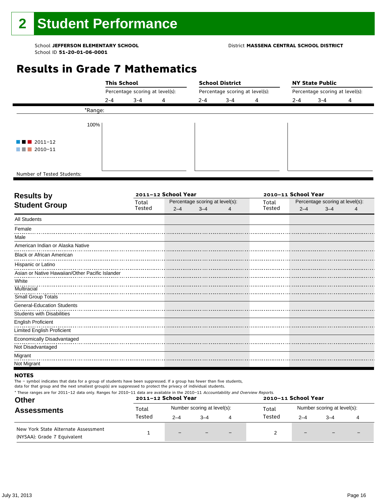#### School **JEFFERSON ELEMENTARY SCHOOL** District **MASSENA CENTRAL SCHOOL DISTRICT**

### **Results in Grade 7 Mathematics**

|                                       |         | <b>This School</b>              |   |                                 | <b>School District</b> |   | <b>NY State Public</b>          |         |   |  |
|---------------------------------------|---------|---------------------------------|---|---------------------------------|------------------------|---|---------------------------------|---------|---|--|
|                                       |         | Percentage scoring at level(s): |   | Percentage scoring at level(s): |                        |   | Percentage scoring at level(s): |         |   |  |
|                                       | $2 - 4$ | $3 - 4$                         | 4 | $2 - 4$                         | $3 - 4$                | 4 | $2 - 4$                         | $3 - 4$ | 4 |  |
|                                       | *Range: |                                 |   |                                 |                        |   |                                 |         |   |  |
|                                       | 100%    |                                 |   |                                 |                        |   |                                 |         |   |  |
| $\blacksquare$ $\blacksquare$ 2011-12 |         |                                 |   |                                 |                        |   |                                 |         |   |  |
| $\blacksquare$ 2010-11                |         |                                 |   |                                 |                        |   |                                 |         |   |  |
|                                       |         |                                 |   |                                 |                        |   |                                 |         |   |  |
| Number of Tested Students:            |         |                                 |   |                                 |                        |   |                                 |         |   |  |

٦

| <b>Results by</b>                               |        | 2011-12 School Year |                                 | 2010-11 School Year |        |         |                                 |  |
|-------------------------------------------------|--------|---------------------|---------------------------------|---------------------|--------|---------|---------------------------------|--|
| <b>Student Group</b>                            | Total  |                     | Percentage scoring at level(s): |                     | Total  |         | Percentage scoring at level(s): |  |
|                                                 | Tested | $2 - 4$             | $3 - 4$                         |                     | Tested | $2 - 4$ | $3 - 4$                         |  |
| <b>All Students</b>                             |        |                     |                                 |                     |        |         |                                 |  |
| Female                                          |        |                     |                                 |                     |        |         |                                 |  |
| Male                                            |        |                     |                                 |                     |        |         |                                 |  |
| American Indian or Alaska Native                |        |                     |                                 |                     |        |         |                                 |  |
| <b>Black or African American</b>                |        |                     |                                 |                     |        |         |                                 |  |
| Hispanic or Latino                              |        |                     |                                 |                     |        |         |                                 |  |
| Asian or Native Hawaiian/Other Pacific Islander |        |                     |                                 |                     |        |         |                                 |  |
| White                                           |        |                     |                                 |                     |        |         |                                 |  |
| Multiracial                                     |        |                     |                                 |                     |        |         |                                 |  |
| Small Group Totals                              |        |                     |                                 |                     |        |         |                                 |  |
| <b>General-Education Students</b>               |        |                     |                                 |                     |        |         |                                 |  |
| <b>Students with Disabilities</b>               |        |                     |                                 |                     |        |         |                                 |  |
| <b>English Proficient</b>                       |        |                     |                                 |                     |        |         |                                 |  |
| <b>Limited English Proficient</b>               |        |                     |                                 |                     |        |         |                                 |  |
| Economically Disadvantaged                      |        |                     |                                 |                     |        |         |                                 |  |
| Not Disadvantaged                               |        |                     |                                 |                     |        |         |                                 |  |
| Migrant                                         |        |                     |                                 |                     |        |         |                                 |  |
| Not Migrant                                     |        |                     |                                 |                     |        |         |                                 |  |
|                                                 |        |                     |                                 |                     |        |         |                                 |  |

#### **NOTES**

The – symbol indicates that data for a group of students have been suppressed. If a group has fewer than five students,

data for that group and the next smallest group(s) are suppressed to protect the privacy of individual students. \* These ranges are for 2011–12 data only. Ranges for 2010–11 data are available in the 2010–11 Accountability and Overview Reports.

| <b>Other</b>                                                       |        | 2011-12 School Year |                             |   | 2010-11 School Year |                             |      |   |
|--------------------------------------------------------------------|--------|---------------------|-----------------------------|---|---------------------|-----------------------------|------|---|
| <b>Assessments</b>                                                 | Total  |                     | Number scoring at level(s): |   | Total               | Number scoring at level(s): |      |   |
|                                                                    | Tested | $2 - 4$             | $-4$                        | 4 | Tested              | $2 - 4$                     | $-4$ |   |
| New York State Alternate Assessment<br>(NYSAA): Grade 7 Equivalent |        | $-$                 |                             |   |                     | $-$                         |      | - |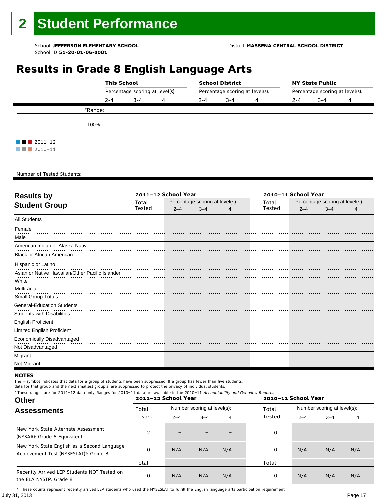### **Results in Grade 8 English Language Arts**

|                            | <b>This School</b>              |         |   |     | <b>School District</b><br>Percentage scoring at level(s): |   |         | <b>NY State Public</b><br>Percentage scoring at level(s): |   |  |  |
|----------------------------|---------------------------------|---------|---|-----|-----------------------------------------------------------|---|---------|-----------------------------------------------------------|---|--|--|
|                            | Percentage scoring at level(s): |         |   |     |                                                           |   |         |                                                           |   |  |  |
|                            | $2 - 4$                         | $3 - 4$ | 4 | 2-4 | $3 - 4$                                                   | 4 | $2 - 4$ | $3 - 4$                                                   | 4 |  |  |
| *Range:                    |                                 |         |   |     |                                                           |   |         |                                                           |   |  |  |
| 100%                       |                                 |         |   |     |                                                           |   |         |                                                           |   |  |  |
| $\blacksquare$ 2011-12     |                                 |         |   |     |                                                           |   |         |                                                           |   |  |  |
| 2010-11<br>a shekara       |                                 |         |   |     |                                                           |   |         |                                                           |   |  |  |
|                            |                                 |         |   |     |                                                           |   |         |                                                           |   |  |  |
| Number of Tested Students: |                                 |         |   |     |                                                           |   |         |                                                           |   |  |  |

٦

|        |         |         | 2010-11 School Year |                                 |         |         |                                 |
|--------|---------|---------|---------------------|---------------------------------|---------|---------|---------------------------------|
| Total  |         |         |                     | Total                           |         |         |                                 |
| Tested | $2 - 4$ | $3 - 4$ |                     | Tested                          | $2 - 4$ | $3 - 4$ |                                 |
|        |         |         |                     |                                 |         |         |                                 |
|        |         |         |                     |                                 |         |         |                                 |
|        |         |         |                     |                                 |         |         |                                 |
|        |         |         |                     |                                 |         |         |                                 |
|        |         |         |                     |                                 |         |         |                                 |
|        |         |         |                     |                                 |         |         |                                 |
|        |         |         |                     |                                 |         |         |                                 |
|        |         |         |                     |                                 |         |         |                                 |
|        |         |         |                     |                                 |         |         |                                 |
|        |         |         |                     |                                 |         |         |                                 |
|        |         |         |                     |                                 |         |         |                                 |
|        |         |         |                     |                                 |         |         |                                 |
|        |         |         |                     |                                 |         |         |                                 |
|        |         |         |                     |                                 |         |         |                                 |
|        |         |         |                     |                                 |         |         |                                 |
|        |         |         |                     |                                 |         |         |                                 |
|        |         |         |                     |                                 |         |         |                                 |
|        |         |         |                     |                                 |         |         |                                 |
|        |         |         | 2011-12 School Year | Percentage scoring at level(s): |         |         | Percentage scoring at level(s): |

#### **NOTES**

The – symbol indicates that data for a group of students have been suppressed. If a group has fewer than five students, data for that group and the next smallest group(s) are suppressed to protect the privacy of individual students.

\* These ranges are for 2011–12 data only. Ranges for 2010–11 data are available in the 2010–11 Accountability and Overview Reports.

| <b>Other</b>                                                                                      | 2011-12 School Year |         |                             |     | 2010-11 School Year |                             |         |     |
|---------------------------------------------------------------------------------------------------|---------------------|---------|-----------------------------|-----|---------------------|-----------------------------|---------|-----|
| <b>Assessments</b>                                                                                | Total               |         | Number scoring at level(s): |     | Total               | Number scoring at level(s): |         |     |
|                                                                                                   | Tested              | $2 - 4$ | $3 - 4$                     | 4   | Tested              | $2 - 4$                     | $3 - 4$ | 4   |
| New York State Alternate Assessment<br>(NYSAA): Grade 8 Equivalent                                |                     |         |                             |     | 0                   |                             |         |     |
| New York State English as a Second Language<br>Achievement Test (NYSESLAT) <sup>†</sup> : Grade 8 | O                   | N/A     | N/A                         | N/A | 0                   | N/A                         | N/A     | N/A |
|                                                                                                   | Total               |         |                             |     | Total               |                             |         |     |
| Recently Arrived LEP Students NOT Tested on<br>the ELA NYSTP: Grade 8                             | 0                   | N/A     | N/A                         | N/A | 0                   | N/A                         | N/A     | N/A |

July 31, 2013 Page 17 † These counts represent recently arrived LEP students who used the NYSESLAT to fulfill the English language arts participation requirement.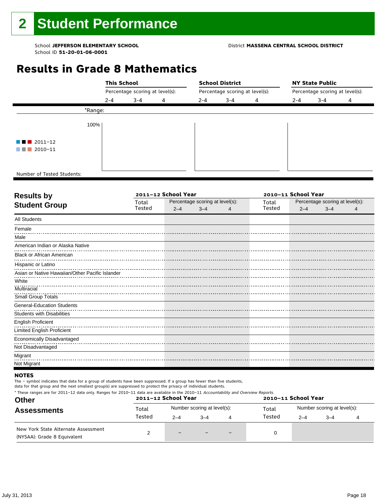#### School **JEFFERSON ELEMENTARY SCHOOL** District **MASSENA CENTRAL SCHOOL DISTRICT**

### **Results in Grade 8 Mathematics**

|                                       |         | <b>This School</b>              |   |                                 | <b>School District</b> |   | <b>NY State Public</b>          |         |   |  |
|---------------------------------------|---------|---------------------------------|---|---------------------------------|------------------------|---|---------------------------------|---------|---|--|
|                                       |         | Percentage scoring at level(s): |   | Percentage scoring at level(s): |                        |   | Percentage scoring at level(s): |         |   |  |
|                                       | $2 - 4$ | $3 - 4$                         | 4 | $2 - 4$                         | $3 - 4$                | 4 | $2 - 4$                         | $3 - 4$ | 4 |  |
|                                       | *Range: |                                 |   |                                 |                        |   |                                 |         |   |  |
|                                       | 100%    |                                 |   |                                 |                        |   |                                 |         |   |  |
| $\blacksquare$ $\blacksquare$ 2011-12 |         |                                 |   |                                 |                        |   |                                 |         |   |  |
| $\blacksquare$ 2010-11                |         |                                 |   |                                 |                        |   |                                 |         |   |  |
|                                       |         |                                 |   |                                 |                        |   |                                 |         |   |  |
| Number of Tested Students:            |         |                                 |   |                                 |                        |   |                                 |         |   |  |

٦

| <b>Results by</b>                               |        | 2011-12 School Year |                                 | 2010-11 School Year |                                 |         |   |  |
|-------------------------------------------------|--------|---------------------|---------------------------------|---------------------|---------------------------------|---------|---|--|
| <b>Student Group</b>                            | Total  |                     | Percentage scoring at level(s): | Total               | Percentage scoring at level(s): |         |   |  |
|                                                 | Tested | $2 - 4$             | $3 - 4$                         | Tested              | $2 - 4$                         | $3 - 4$ | 4 |  |
| <b>All Students</b>                             |        |                     |                                 |                     |                                 |         |   |  |
| Female                                          |        |                     |                                 |                     |                                 |         |   |  |
| Male                                            |        |                     |                                 |                     |                                 |         |   |  |
| American Indian or Alaska Native                |        |                     |                                 |                     |                                 |         |   |  |
| <b>Black or African American</b>                |        |                     |                                 |                     |                                 |         |   |  |
| Hispanic or Latino                              |        |                     |                                 |                     |                                 |         |   |  |
| Asian or Native Hawaiian/Other Pacific Islander |        |                     |                                 |                     |                                 |         |   |  |
| White                                           |        |                     |                                 |                     |                                 |         |   |  |
| Multiracial                                     |        |                     |                                 |                     |                                 |         |   |  |
| Small Group Totals                              |        |                     |                                 |                     |                                 |         |   |  |
| <b>General-Education Students</b>               |        |                     |                                 |                     |                                 |         |   |  |
| Students with Disabilities                      |        |                     |                                 |                     |                                 |         |   |  |
| <b>English Proficient</b>                       |        |                     |                                 |                     |                                 |         |   |  |
| <b>Limited English Proficient</b>               |        |                     |                                 |                     |                                 |         |   |  |
| Economically Disadvantaged                      |        |                     |                                 |                     |                                 |         |   |  |
| Not Disadvantaged                               |        |                     |                                 |                     |                                 |         |   |  |
| Migrant                                         |        |                     |                                 |                     |                                 |         |   |  |
| Not Migrant                                     |        |                     |                                 |                     |                                 |         |   |  |

#### **NOTES**

The – symbol indicates that data for a group of students have been suppressed. If a group has fewer than five students,

| * These ranges are for 2011-12 data only. Ranges for 2010-11 data are available in the 2010-11 Accountability and Overview Reports.<br><b>Other</b><br><b>Assessments</b> |                 | 2011-12 School Year |                             |                          | 2010-11 School Year |                             |         |  |  |
|---------------------------------------------------------------------------------------------------------------------------------------------------------------------------|-----------------|---------------------|-----------------------------|--------------------------|---------------------|-----------------------------|---------|--|--|
|                                                                                                                                                                           | Total<br>Tested |                     | Number scoring at level(s): |                          | Total<br>Tested     | Number scoring at level(s): |         |  |  |
|                                                                                                                                                                           |                 | $2 - 4$             | $3 - 4$                     |                          |                     | $2 - 4$                     | $3 - 4$ |  |  |
| New York State Alternate Assessment<br>(NYSAA): Grade 8 Equivalent                                                                                                        |                 | $-$                 |                             | $\overline{\phantom{0}}$ |                     |                             |         |  |  |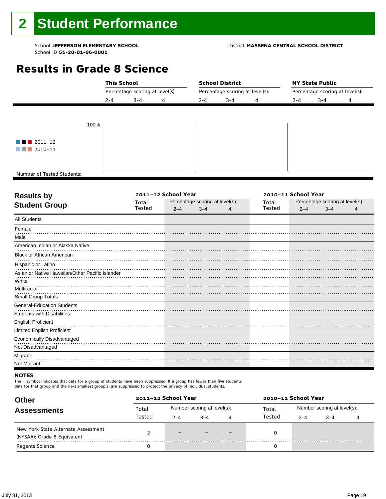#### School **JEFFERSON ELEMENTARY SCHOOL** District **MASSENA CENTRAL SCHOOL DISTRICT**

### **Results in Grade 8 Science**

|                                       |         | <b>This School</b>              |  |         | <b>School District</b>          |   | <b>NY State Public</b> |                                 |   |  |  |
|---------------------------------------|---------|---------------------------------|--|---------|---------------------------------|---|------------------------|---------------------------------|---|--|--|
|                                       |         | Percentage scoring at level(s): |  |         | Percentage scoring at level(s): |   |                        | Percentage scoring at level(s): |   |  |  |
|                                       | $2 - 4$ | $3 - 4$<br>4                    |  | $2 - 4$ | $3 - 4$                         | 4 | $2 - 4$                | $3 - 4$                         | 4 |  |  |
|                                       |         |                                 |  |         |                                 |   |                        |                                 |   |  |  |
|                                       |         |                                 |  |         |                                 |   |                        |                                 |   |  |  |
|                                       | 100%    |                                 |  |         |                                 |   |                        |                                 |   |  |  |
|                                       |         |                                 |  |         |                                 |   |                        |                                 |   |  |  |
| $\blacksquare$ $\blacksquare$ 2011-12 |         |                                 |  |         |                                 |   |                        |                                 |   |  |  |
| $\blacksquare$ 2010-11                |         |                                 |  |         |                                 |   |                        |                                 |   |  |  |
|                                       |         |                                 |  |         |                                 |   |                        |                                 |   |  |  |
|                                       |         |                                 |  |         |                                 |   |                        |                                 |   |  |  |
| Number of Tested Students:            |         |                                 |  |         |                                 |   |                        |                                 |   |  |  |

٦

| <b>Results by</b>                               |        | 2011-12 School Year |                                 | 2010-11 School Year |        |                                 |         |   |  |  |
|-------------------------------------------------|--------|---------------------|---------------------------------|---------------------|--------|---------------------------------|---------|---|--|--|
| <b>Student Group</b>                            | Total  |                     | Percentage scoring at level(s): |                     | Total  | Percentage scoring at level(s): |         |   |  |  |
|                                                 | Tested | $2 - 4$             | $3 - 4$                         |                     | Tested | $2 - 4$                         | $3 - 4$ | 4 |  |  |
| <b>All Students</b>                             |        |                     |                                 |                     |        |                                 |         |   |  |  |
| Female                                          |        |                     |                                 |                     |        |                                 |         |   |  |  |
| Male                                            |        |                     |                                 |                     |        |                                 |         |   |  |  |
| American Indian or Alaska Native                |        |                     |                                 |                     |        |                                 |         |   |  |  |
| <b>Black or African American</b>                |        |                     |                                 |                     |        |                                 |         |   |  |  |
| Hispanic or Latino                              |        |                     |                                 |                     |        |                                 |         |   |  |  |
| Asian or Native Hawaiian/Other Pacific Islander |        |                     |                                 |                     |        |                                 |         |   |  |  |
| White                                           |        |                     |                                 |                     |        |                                 |         |   |  |  |
| Multiracial                                     |        |                     |                                 |                     |        |                                 |         |   |  |  |
| Small Group Totals                              |        |                     |                                 |                     |        |                                 |         |   |  |  |
| <b>General-Education Students</b>               |        |                     |                                 |                     |        |                                 |         |   |  |  |
| <b>Students with Disabilities</b>               |        |                     |                                 |                     |        |                                 |         |   |  |  |
| <b>English Proficient</b>                       |        |                     |                                 |                     |        |                                 |         |   |  |  |
| <b>Limited English Proficient</b>               |        |                     |                                 |                     |        |                                 |         |   |  |  |
| Economically Disadvantaged                      |        |                     |                                 |                     |        |                                 |         |   |  |  |
| Not Disadvantaged                               |        |                     |                                 |                     |        |                                 |         |   |  |  |
| Migrant                                         |        |                     |                                 |                     |        |                                 |         |   |  |  |
| Not Migrant                                     |        |                     |                                 |                     |        |                                 |         |   |  |  |

#### **NOTES**

The – symbol indicates that data for a group of students have been suppressed. If a group has fewer than five students,

| <b>Other</b>                        | 2011-12 School Year |         |                             |   | 2010-11 School Year |                             |         |  |  |  |
|-------------------------------------|---------------------|---------|-----------------------------|---|---------------------|-----------------------------|---------|--|--|--|
| <b>Assessments</b>                  | Total               |         | Number scoring at level(s): |   | Total               | Number scoring at level(s): |         |  |  |  |
|                                     | Tested              | $2 - 4$ | $3 - 4$                     | 4 | Tested              | $2 - 4$                     | $3 - 4$ |  |  |  |
| New York State Alternate Assessment |                     | $-$     |                             |   |                     |                             |         |  |  |  |
| (NYSAA): Grade 8 Equivalent         |                     |         |                             |   |                     |                             |         |  |  |  |
| <b>Regents Science</b>              |                     |         |                             |   |                     |                             |         |  |  |  |